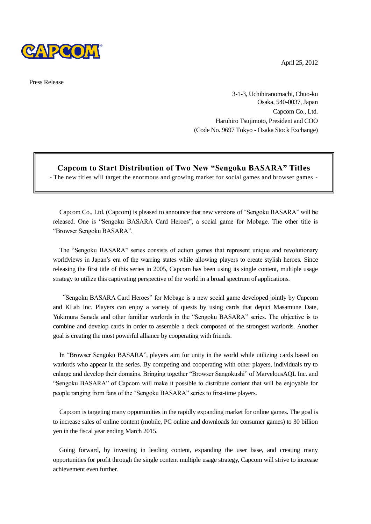

Press Release

April 25, 2012

3-1-3, Uchihiranomachi, Chuo-ku Osaka, 540-0037, Japan Capcom Co., Ltd. Haruhiro Tsujimoto, President and COO (Code No. 9697 Tokyo - Osaka Stock Exchange)

**Capcom to Start Distribution of Two New "Sengoku BASARA" Titles**

- The new titles will target the enormous and growing market for social games and browser games -

Capcom Co., Ltd. (Capcom) is pleased to announce that new versions of "Sengoku BASARA" will be released. One is "Sengoku BASARA Card Heroes", a social game for Mobage. The other title is "Browser Sengoku BASARA".

The "Sengoku BASARA" series consists of action games that represent unique and revolutionary worldviews in Japan's era of the warring states while allowing players to create stylish heroes. Since releasing the first title of this series in 2005, Capcom has been using its single content, multiple usage strategy to utilize this captivating perspective of the world in a broad spectrum of applications.

"Sengoku BASARA Card Heroes" for Mobage is a new social game developed jointly by Capcom and KLab Inc. Players can enjoy a variety of quests by using cards that depict Masamune Date, Yukimura Sanada and other familiar warlords in the "Sengoku BASARA" series. The objective is to combine and develop cards in order to assemble a deck composed of the strongest warlords. Another goal is creating the most powerful alliance by cooperating with friends.

In "Browser Sengoku BASARA", players aim for unity in the world while utilizing cards based on warlords who appear in the series. By competing and cooperating with other players, individuals try to enlarge and develop their domains. Bringing together "Browser Sangokushi" of MarvelousAQL Inc. and "Sengoku BASARA" of Capcom will make it possible to distribute content that will be enjoyable for people ranging from fans of the "Sengoku BASARA" series to first-time players.

Capcom is targeting many opportunities in the rapidly expanding market for online games. The goal is to increase sales of online content (mobile, PC online and downloads for consumer games) to 30 billion yen in the fiscal year ending March 2015.

Going forward, by investing in leading content, expanding the user base, and creating many opportunities for profit through the single content multiple usage strategy, Capcom will strive to increase achievement even further.